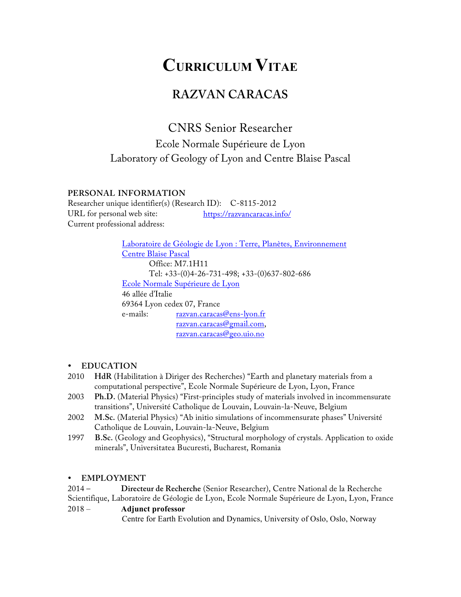# **CURRICULUM VITAE**

## **RAZVAN CARACAS**

CNRS Senior Researcher Ecole Normale Supérieure de Lyon Laboratory of Geology of Lyon and Centre Blaise Pascal

#### **PERSONAL INFORMATION**

Researcher unique identifier(s) (Research ID): C-8115-2012 URL for personal web site: https://razvancaracas.info/ Current professional address:

> Laboratoire de Géologie de Lyon : Terre, Planètes, Environnement Centre Blaise Pascal Office: M7.1H11 Tel: +33-(0)4-26-731-498; +33-(0)637-802-686 Ecole Normale Supérieure de Lyon 46 allée d'Italie 69364 Lyon cedex 07, France e-mails: razvan.caracas@ens-lyon.fr razvan.caracas@gmail.com, razvan.caracas@geo.uio.no

#### • **EDUCATION**

- 2010 **HdR** (Habilitation à Diriger des Recherches) "Earth and planetary materials from a computational perspective", Ecole Normale Supérieure de Lyon, Lyon, France
- 2003 **Ph.D.** (Material Physics) "First-principles study of materials involved in incommensurate transitions", Université Catholique de Louvain, Louvain-la-Neuve, Belgium
- 2002 **M.Sc.** (Material Physics) "Ab initio simulations of incommensurate phases" Université Catholique de Louvain, Louvain-la-Neuve, Belgium
- 1997 **B.Sc.** (Geology and Geophysics), "Structural morphology of crystals. Application to oxide minerals", Universitatea Bucuresti, Bucharest, Romania

## • **EMPLOYMENT**

2014 – **Directeur de Recherche** (Senior Researcher), Centre National de la Recherche Scientifique, Laboratoire de Géologie de Lyon, Ecole Normale Supérieure de Lyon, Lyon, France

#### 2018 – **Adjunct professor**

Centre for Earth Evolution and Dynamics, University of Oslo, Oslo, Norway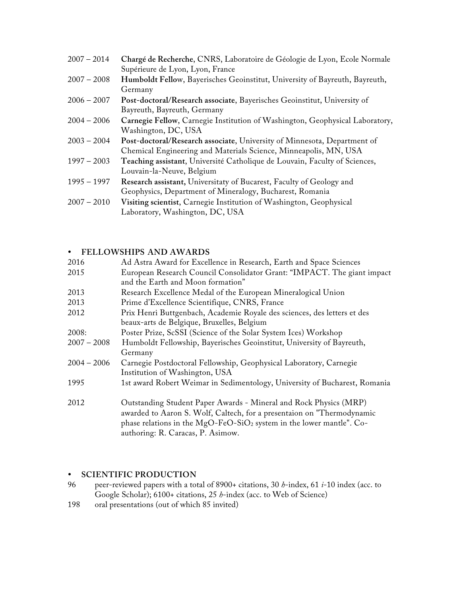| $2007 - 2014$ | Chargé de Recherche, CNRS, Laboratoire de Géologie de Lyon, Ecole Normale    |
|---------------|------------------------------------------------------------------------------|
|               | Supérieure de Lyon, Lyon, France                                             |
| $2007 - 2008$ | Humboldt Fellow, Bayerisches Geoinstitut, University of Bayreuth, Bayreuth,  |
|               | Germany                                                                      |
| $2006 - 2007$ | Post-doctoral/Research associate, Bayerisches Geoinstitut, University of     |
|               | Bayreuth, Bayreuth, Germany                                                  |
| $2004 - 2006$ | Carnegie Fellow, Carnegie Institution of Washington, Geophysical Laboratory, |
|               | Washington, DC, USA                                                          |
| $2003 - 2004$ | Post-doctoral/Research associate, University of Minnesota, Department of     |
|               | Chemical Engineering and Materials Science, Minneapolis, MN, USA             |
| $1997 - 2003$ | Teaching assistant, Université Catholique de Louvain, Faculty of Sciences,   |
|               | Louvain-la-Neuve, Belgium                                                    |
| $1995 - 1997$ | Research assistant, Universitaty of Bucarest, Faculty of Geology and         |
|               | Geophysics, Department of Mineralogy, Bucharest, Romania                     |
| $2007 - 2010$ | Visiting scientist, Carnegie Institution of Washington, Geophysical          |
|               | Laboratory, Washington, DC, USA                                              |
|               |                                                                              |

## • **FELLOWSHIPS AND AWARDS**

| 2016                                                                                   | Ad Astra Award for Excellence in Research, Earth and Space Sciences                                                                                                                             |  |
|----------------------------------------------------------------------------------------|-------------------------------------------------------------------------------------------------------------------------------------------------------------------------------------------------|--|
| 2015                                                                                   | European Research Council Consolidator Grant: "IMPACT. The giant impact                                                                                                                         |  |
|                                                                                        | and the Earth and Moon formation"                                                                                                                                                               |  |
| 2013                                                                                   | Research Excellence Medal of the European Mineralogical Union                                                                                                                                   |  |
| 2013                                                                                   | Prime d'Excellence Scientifique, CNRS, France                                                                                                                                                   |  |
| Prix Henri Buttgenbach, Academie Royale des sciences, des letters et des<br>2012       |                                                                                                                                                                                                 |  |
|                                                                                        | beaux-arts de Belgique, Bruxelles, Belgium                                                                                                                                                      |  |
| 2008:                                                                                  | Poster Prize, ScSSI (Science of the Solar System Ices) Workshop                                                                                                                                 |  |
| $2007 - 2008$<br>Humboldt Fellowship, Bayerisches Geoinstitut, University of Bayreuth, |                                                                                                                                                                                                 |  |
|                                                                                        | Germany                                                                                                                                                                                         |  |
| $2004 - 2006$                                                                          | Carnegie Postdoctoral Fellowship, Geophysical Laboratory, Carnegie                                                                                                                              |  |
|                                                                                        | Institution of Washington, USA                                                                                                                                                                  |  |
| 1995                                                                                   | 1st award Robert Weimar in Sedimentology, University of Bucharest, Romania                                                                                                                      |  |
| 2012                                                                                   | Outstanding Student Paper Awards - Mineral and Rock Physics (MRP)                                                                                                                               |  |
|                                                                                        | awarded to Aaron S. Wolf, Caltech, for a presentaion on "Thermodynamic<br>phase relations in the MgO-FeO-SiO <sub>2</sub> system in the lower mantle". Co-<br>authoring: R. Caracas, P. Asimow. |  |
|                                                                                        |                                                                                                                                                                                                 |  |

## • **SCIENTIFIC PRODUCTION**

- 96 peer-reviewed papers with a total of 8900+ citations, 30 *h*-index, 61 *i*-10 index (acc. to Google Scholar); 6100+ citations, 25 *h*-index (acc. to Web of Science)
- 198 oral presentations (out of which 85 invited)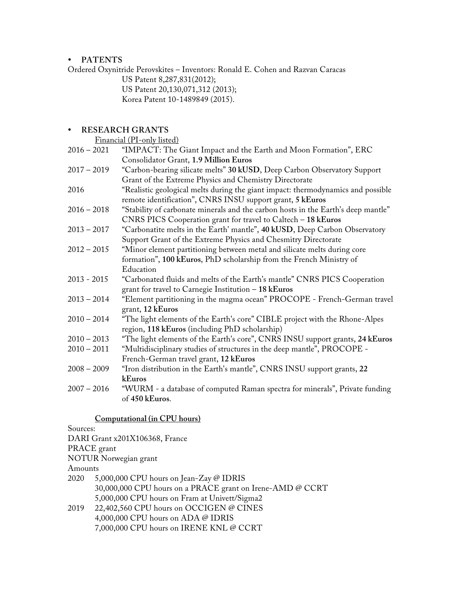#### • **PATENTS**

Ordered Oxynitride Perovskites – Inventors: Ronald E. Cohen and Razvan Caracas

US Patent 8,287,831(2012);

US Patent 20,130,071,312 (2013);

Korea Patent 10-1489849 (2015).

## • **RESEARCH GRANTS**

Financial (PI-only listed)

| $2016 - 2021$ | "IMPACT: The Giant Impact and the Earth and Moon Formation", ERC                             |
|---------------|----------------------------------------------------------------------------------------------|
|               | Consolidator Grant, 1.9 Million Euros                                                        |
| $2017 - 2019$ | "Carbon-bearing silicate melts" 30 kUSD, Deep Carbon Observatory Support                     |
|               | Grant of the Extreme Physics and Chemistry Directorate                                       |
| 2016          | "Realistic geological melts during the giant impact: thermodynamics and possible             |
|               | remote identification", CNRS INSU support grant, 5 kEuros                                    |
| $2016 - 2018$ | "Stability of carbonate minerals and the carbon hosts in the Earth's deep mantle"            |
|               | CNRS PICS Cooperation grant for travel to Caltech - 18 kEuros                                |
| $2013 - 2017$ | "Carbonatite melts in the Earth' mantle", 40 kUSD, Deep Carbon Observatory                   |
|               | Support Grant of the Extreme Physics and Chesmitry Directorate                               |
| $2012 - 2015$ | "Minor element partitioning between metal and silicate melts during core                     |
|               | formation", 100 kEuros, PhD scholarship from the French Ministry of                          |
|               | Education                                                                                    |
| $2013 - 2015$ | "Carbonated fluids and melts of the Earth's mantle" CNRS PICS Cooperation                    |
|               |                                                                                              |
|               | grant for travel to Carnegie Institution - 18 kEuros                                         |
| $2013 - 2014$ | "Element partitioning in the magma ocean" PROCOPE - French-German travel<br>grant, 12 kEuros |
| $2010 - 2014$ | "The light elements of the Earth's core" CIBLE project with the Rhone-Alpes                  |
|               | region, 118 kEuros (including PhD scholarship)                                               |
| $2010 - 2013$ | "The light elements of the Earth's core", CNRS INSU support grants, 24 kEuros                |
| $2010 - 2011$ | "Multidisciplinary studies of structures in the deep mantle", PROCOPE -                      |
|               | French-German travel grant, 12 kEuros                                                        |
| $2008 - 2009$ | "Iron distribution in the Earth's mantle", CNRS INSU support grants, 22                      |
|               | kEuros                                                                                       |
| $2007 - 2016$ | "WURM - a database of computed Raman spectra for minerals", Private funding                  |
|               |                                                                                              |
|               | of 450 kEuros.                                                                               |

## **Computational (in CPU hours)**

Sources: DARI Grant x201X106368, France PRACE grant NOTUR Norwegian grant Amounts 2020 5,000,000 CPU hours on Jean-Zay @ IDRIS 30,000,000 CPU hours on a PRACE grant on Irene-AMD @ CCRT 5,000,000 CPU hours on Fram at Univett/Sigma2 2019 22,402,560 CPU hours on OCCIGEN @ CINES 4,000,000 CPU hours on ADA @ IDRIS 7,000,000 CPU hours on IRENE KNL @ CCRT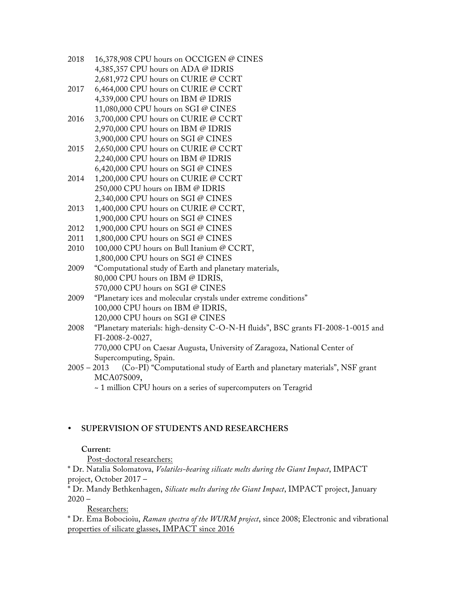- 2018 16,378,908 CPU hours on OCCIGEN @ CINES 4,385,357 CPU hours on ADA @ IDRIS 2,681,972 CPU hours on CURIE @ CCRT
- 2017 6,464,000 CPU hours on CURIE @ CCRT 4,339,000 CPU hours on IBM @ IDRIS 11,080,000 CPU hours on SGI @ CINES
- 2016 3,700,000 CPU hours on CURIE @ CCRT 2,970,000 CPU hours on IBM @ IDRIS 3,900,000 CPU hours on SGI @ CINES
- 2015 2,650,000 CPU hours on CURIE @ CCRT 2,240,000 CPU hours on IBM @ IDRIS 6,420,000 CPU hours on SGI @ CINES
- 2014 1,200,000 CPU hours on CURIE @ CCRT 250,000 CPU hours on IBM @ IDRIS 2,340,000 CPU hours on SGI @ CINES
- 2013 1,400,000 CPU hours on CURIE @ CCRT, 1,900,000 CPU hours on SGI @ CINES
- 2012 1,900,000 CPU hours on SGI @ CINES
- 2011 1,800,000 CPU hours on SGI @ CINES
- 2010 100,000 CPU hours on Bull Itanium @ CCRT, 1,800,000 CPU hours on SGI @ CINES
- 2009 "Computational study of Earth and planetary materials, 80,000 CPU hours on IBM @ IDRIS, 570,000 CPU hours on SGI @ CINES
- 2009 "Planetary ices and molecular crystals under extreme conditions" 100,000 CPU hours on IBM @ IDRIS, 120,000 CPU hours on SGI @ CINES
- 2008 "Planetary materials: high-density C-O-N-H fluids", BSC grants FI-2008-1-0015 and FI-2008-2-0027, 770,000 CPU on Caesar Augusta, University of Zaragoza, National Center of Supercomputing, Spain.
- 2005 2013 (Co-PI) "Computational study of Earth and planetary materials", NSF grant MCA07S009**,**

~ 1 million CPU hours on a series of supercomputers on Teragrid

## • **SUPERVISION OF STUDENTS AND RESEARCHERS**

## **Current:**

Post-doctoral researchers:

\* Dr. Natalia Solomatova, *Volatiles-bearing silicate melts during the Giant Impact*, IMPACT project, October 2017 –

\* Dr. Mandy Bethkenhagen, *Silicate melts during the Giant Impact*, IMPACT project, January  $2020 -$ 

Researchers:

\* Dr. Ema Bobocioiu, *Raman spectra of the WURM project*, since 2008; Electronic and vibrational properties of silicate glasses, IMPACT since 2016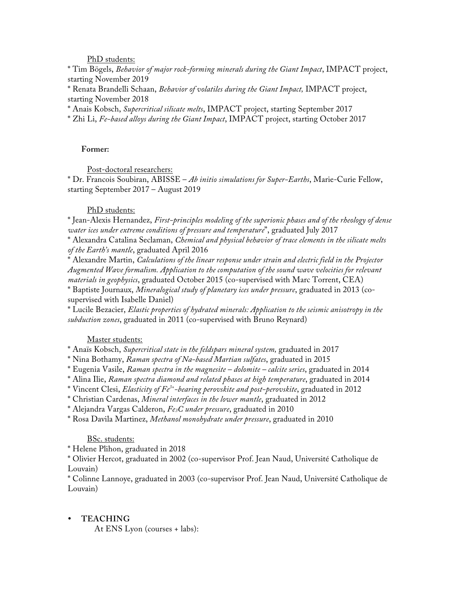PhD students:

\* Tim Bögels, *Behavior of major rock-forming minerals during the Giant Impact*, IMPACT project, starting November 2019

\* Renata Brandelli Schaan, *Behavior of volatiles during the Giant Impact,* IMPACT project, starting November 2018

\* Anais Kobsch, *Supercritical silicate melts*, IMPACT project, starting September 2017

\* Zhi Li, *Fe-based alloys during the Giant Impact*, IMPACT project, starting October 2017

#### **Former:**

Post-doctoral researchers:

\* Dr. Francois Soubiran, ABISSE – *Ab initio simulations for Super-Earths*, Marie-Curie Fellow, starting September 2017 – August 2019

#### PhD students:

\* Jean-Alexis Hernandez, *First-principles modeling of the superionic phases and of the rheology of dense water ices under extreme conditions of pressure and temperature*", graduated July 2017

\* Alexandra Catalina Seclaman, *Chemical and physical behavior of trace elements in the silicate melts of the Earth's mantle*, graduated April 2016

\* Alexandre Martin, *Calculations of the linear response under strain and electric field in the Projector Augmented Wave formalism. Application to the computation of the sound wave velocities for relevant materials in geophysics*, graduated October 2015 (co-supervised with Marc Torrent, CEA)

\* Baptiste Journaux, *Mineralogical study of planetary ices under pressure*, graduated in 2013 (cosupervised with Isabelle Daniel)

\* Lucile Bezacier, *Elastic properties of hydrated minerals: Application to the seismic anisotropy in the subduction zones*, graduated in 2011 (co-supervised with Bruno Reynard)

#### Master students:

\* Anaïs Kobsch, *Supercritical state in the feldspars mineral system,* graduated in 2017

\* Nina Bothamy, *Raman spectra of Na-based Martian sulfates*, graduated in 2015

\* Eugenia Vasile, *Raman spectra in the magnesite – dolomite – calcite series*, graduated in 2014

\* Alina Ilie, *Raman spectra diamond and related phases at high temperature*, graduated in 2014

\* Vincent Clesi, *Elasticity of Fe3+-bearing perovskite and post-perovskite*, graduated in 2012

\* Christian Cardenas, *Mineral interfaces in the lower mantle*, graduated in 2012

\* Alejandra Vargas Calderon, *Fe3C under pressure*, graduated in 2010

\* Rosa Davila Martinez, *Methanol monohydrate under pressure*, graduated in 2010

#### BSc. students:

\* Helene Plihon, graduated in 2018

\* Olivier Hercot, graduated in 2002 (co-supervisor Prof. Jean Naud, Université Catholique de Louvain)

\* Colinne Lannoye, graduated in 2003 (co-supervisor Prof. Jean Naud, Université Catholique de Louvain)

#### • **TEACHING**

At ENS Lyon (courses + labs):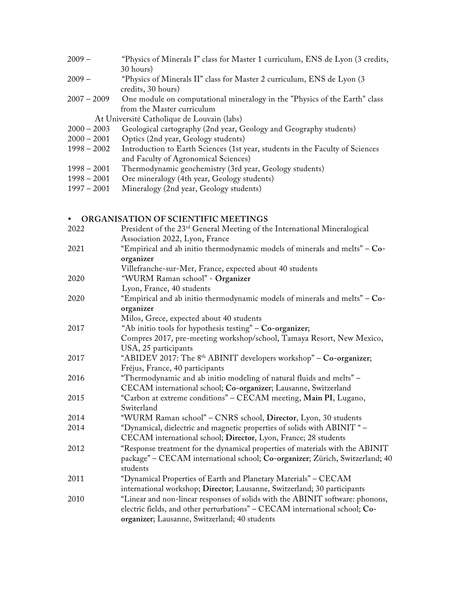| $2009 -$      | "Physics of Minerals I" class for Master 1 curriculum, ENS de Lyon (3 credits, |  |
|---------------|--------------------------------------------------------------------------------|--|
|               | 30 hours)                                                                      |  |
| $2009 -$      | "Physics of Minerals II" class for Master 2 curriculum, ENS de Lyon (3)        |  |
|               | credits, 30 hours)                                                             |  |
| $2007 - 2009$ | One module on computational mineralogy in the "Physics of the Earth" class     |  |
|               | from the Master curriculum                                                     |  |
|               | At Université Catholique de Louvain (labs)                                     |  |
| $2000 - 2003$ | Geological cartography (2nd year, Geology and Geography students)              |  |
| $2000 - 2001$ | Optics (2nd year, Geology students)                                            |  |
| $1998 - 2002$ | Introduction to Earth Sciences (1st year, students in the Faculty of Sciences  |  |
|               | and Faculty of Agronomical Sciences)                                           |  |
| $1998 - 2001$ | Thermodynamic geochemistry (3rd year, Geology students)                        |  |
| $1998 - 2001$ | Ore mineralogy (4th year, Geology students)                                    |  |
|               |                                                                                |  |

1997 – 2001 Mineralogy (2nd year, Geology students)

## • **ORGANISATION OF SCIENTIFIC MEETINGS**

| 2022 | President of the 23 <sup>rd</sup> General Meeting of the International Mineralogical |
|------|--------------------------------------------------------------------------------------|
|      | Association 2022, Lyon, France                                                       |
| 2021 | "Empirical and ab initio thermodynamic models of minerals and melts" - Co-           |
|      | organizer                                                                            |
|      | Villefranche-sur-Mer, France, expected about 40 students                             |
| 2020 | "WURM Raman school" - Organizer                                                      |
|      | Lyon, France, 40 students                                                            |
| 2020 | "Empirical and ab initio thermodynamic models of minerals and melts" - Co-           |
|      | organizer                                                                            |
|      | Milos, Grece, expected about 40 students                                             |
| 2017 | "Ab initio tools for hypothesis testing" - Co-organizer;                             |
|      | Compres 2017, pre-meeting workshop/school, Tamaya Resort, New Mexico,                |
|      | USA, 25 participants                                                                 |
| 2017 | "ABIDEV 2017: The 8 <sup>th</sup> ABINIT developers workshop" - Co-organizer;        |
|      | Fréjus, France, 40 participants                                                      |
| 2016 | "Thermodynamic and ab initio modeling of natural fluids and melts" -                 |
|      | CECAM international school; Co-organizer; Lausanne, Switzerland                      |
| 2015 | "Carbon at extreme conditions" - CECAM meeting, Main PI, Lugano,                     |
|      | Switerland                                                                           |
| 2014 | "WURM Raman school" - CNRS school, Director, Lyon, 30 students                       |
| 2014 | "Dynamical, dielectric and magnetic properties of solids with ABINIT " -             |
|      | CECAM international school; Director, Lyon, France; 28 students                      |
| 2012 | "Response treatment for the dynamical properties of materials with the ABINIT        |
|      | package" – CECAM international school; Co-organizer; Zürich, Switzerland; 40         |
|      | students                                                                             |
| 2011 | "Dynamical Properties of Earth and Planetary Materials" – CECAM                      |
|      | international workshop; Director; Lausanne, Switzerland; 30 participants             |
| 2010 | "Linear and non-linear responses of solids with the ABINIT software: phonons,        |
|      | electric fields, and other perturbations" - CECAM international school; Co-          |
|      | organizer; Lausanne, Switzerland; 40 students                                        |
|      |                                                                                      |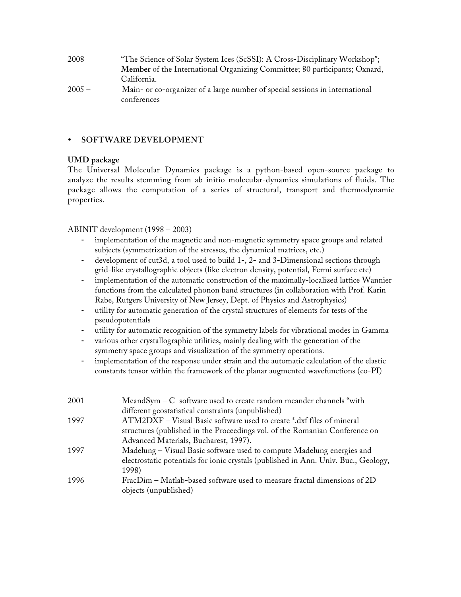| 2008     | "The Science of Solar System Ices (ScSSI): A Cross-Disciplinary Workshop";   |
|----------|------------------------------------------------------------------------------|
|          | Member of the International Organizing Committee; 80 participants; Oxnard,   |
|          | California.                                                                  |
| $2005 -$ | Main- or co-organizer of a large number of special sessions in international |
|          | conferences                                                                  |

#### • **SOFTWARE DEVELOPMENT**

#### **UMD package**

The Universal Molecular Dynamics package is a python-based open-source package to analyze the results stemming from ab initio molecular-dynamics simulations of fluids. The package allows the computation of a series of structural, transport and thermodynamic properties.

ABINIT development (1998 – 2003)

- implementation of the magnetic and non-magnetic symmetry space groups and related subjects (symmetrization of the stresses, the dynamical matrices, etc.)
- development of cut3d, a tool used to build 1-, 2- and 3-Dimensional sections through grid-like crystallographic objects (like electron density, potential, Fermi surface etc)
- implementation of the automatic construction of the maximally-localized lattice Wannier functions from the calculated phonon band structures (in collaboration with Prof. Karin Rabe, Rutgers University of New Jersey, Dept. of Physics and Astrophysics)
- utility for automatic generation of the crystal structures of elements for tests of the pseudopotentials
- utility for automatic recognition of the symmetry labels for vibrational modes in Gamma
- various other crystallographic utilities, mainly dealing with the generation of the symmetry space groups and visualization of the symmetry operations.
- implementation of the response under strain and the automatic calculation of the elastic constants tensor within the framework of the planar augmented wavefunctions (co-PI)

| 2001 | MeandSym $-$ C software used to create random meander channels "with                |  |
|------|-------------------------------------------------------------------------------------|--|
|      | different geostatistical constraints (unpublished)                                  |  |
| 1997 | ATM2DXF – Visual Basic software used to create *.dxf files of mineral               |  |
|      | structures (published in the Proceedings vol. of the Romanian Conference on         |  |
|      | Advanced Materials, Bucharest, 1997).                                               |  |
| 1997 | Madelung – Visual Basic software used to compute Madelung energies and              |  |
|      | electrostatic potentials for ionic crystals (published in Ann. Univ. Buc., Geology, |  |
|      | 1998)                                                                               |  |
| 1996 | FracDim - Matlab-based software used to measure fractal dimensions of 2D            |  |
|      | objects (unpublished)                                                               |  |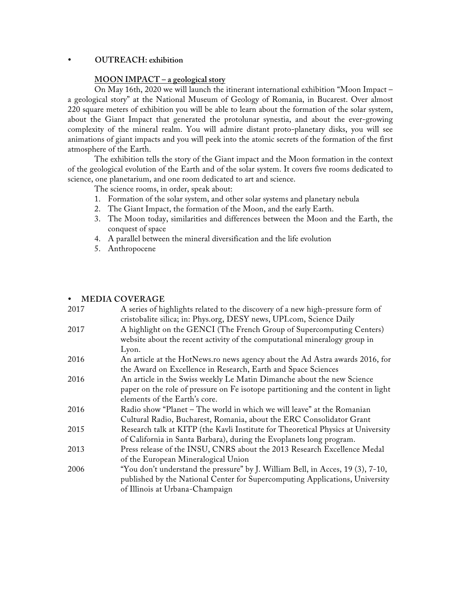#### • **OUTREACH: exhibition**

#### **MOON IMPACT – a geological story**

On May 16th, 2020 we will launch the itinerant international exhibition "Moon Impact – a geological story" at the National Museum of Geology of Romania, in Bucarest. Over almost 220 square meters of exhibition you will be able to learn about the formation of the solar system, about the Giant Impact that generated the protolunar synestia, and about the ever-growing complexity of the mineral realm. You will admire distant proto-planetary disks, you will see animations of giant impacts and you will peek into the atomic secrets of the formation of the first atmosphere of the Earth.

The exhibition tells the story of the Giant impact and the Moon formation in the context of the geological evolution of the Earth and of the solar system. It covers five rooms dedicated to science, one planetarium, and one room dedicated to art and science.

The science rooms, in order, speak about:

- 1. Formation of the solar system, and other solar systems and planetary nebula
- 2. The Giant Impact, the formation of the Moon, and the early Earth.
- 3. The Moon today, similarities and differences between the Moon and the Earth, the conquest of space
- 4. A parallel between the mineral diversification and the life evolution
- 5. Anthropocene

#### • **MEDIA COVERAGE**

| 2017 | A series of highlights related to the discovery of a new high-pressure form of    |
|------|-----------------------------------------------------------------------------------|
|      | cristobalite silica; in: Phys.org, DESY news, UPI.com, Science Daily              |
| 2017 | A highlight on the GENCI (The French Group of Supercomputing Centers)             |
|      | website about the recent activity of the computational mineralogy group in        |
|      | Lyon.                                                                             |
| 2016 | An article at the HotNews.ro news agency about the Ad Astra awards 2016, for      |
|      | the Award on Excellence in Research, Earth and Space Sciences                     |
| 2016 | An article in the Swiss weekly Le Matin Dimanche about the new Science            |
|      | paper on the role of pressure on Fe isotope partitioning and the content in light |
|      | elements of the Earth's core.                                                     |
| 2016 | Radio show "Planet – The world in which we will leave" at the Romanian            |
|      | Cultural Radio, Bucharest, Romania, about the ERC Consolidator Grant              |
| 2015 | Research talk at KITP (the Kavli Institute for Theoretical Physics at University  |
|      | of California in Santa Barbara), during the Evoplanets long program.              |
| 2013 | Press release of the INSU, CNRS about the 2013 Research Excellence Medal          |
|      | of the European Mineralogical Union                                               |
| 2006 | "You don't understand the pressure" by J. William Bell, in Acces, 19 (3), 7-10,   |
|      | published by the National Center for Supercomputing Applications, University      |
|      | of Illinois at Urbana-Champaign                                                   |